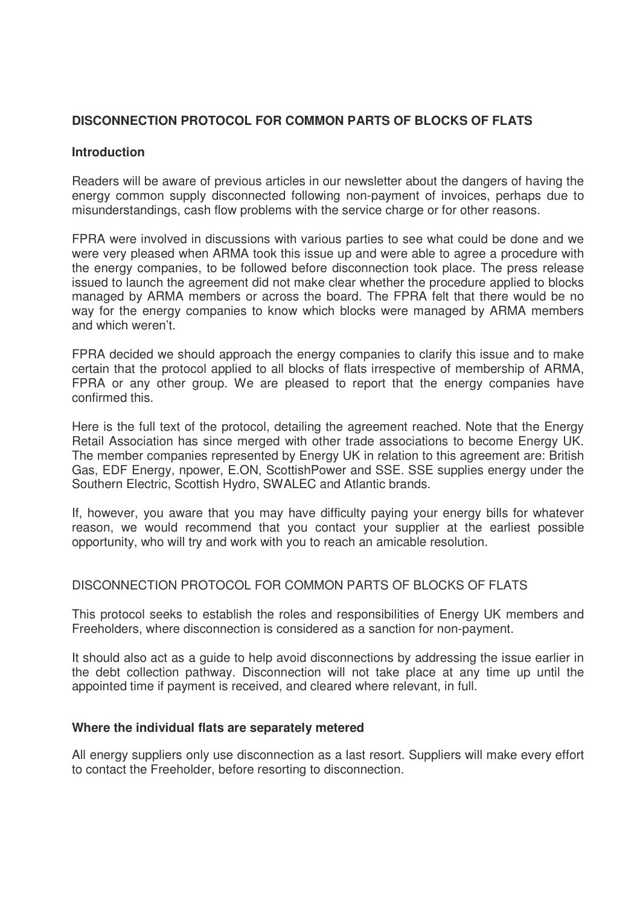# **DISCONNECTION PROTOCOL FOR COMMON PARTS OF BLOCKS OF FLATS**

### **Introduction**

Readers will be aware of previous articles in our newsletter about the dangers of having the energy common supply disconnected following non-payment of invoices, perhaps due to misunderstandings, cash flow problems with the service charge or for other reasons.

FPRA were involved in discussions with various parties to see what could be done and we were very pleased when ARMA took this issue up and were able to agree a procedure with the energy companies, to be followed before disconnection took place. The press release issued to launch the agreement did not make clear whether the procedure applied to blocks managed by ARMA members or across the board. The FPRA felt that there would be no way for the energy companies to know which blocks were managed by ARMA members and which weren't.

FPRA decided we should approach the energy companies to clarify this issue and to make certain that the protocol applied to all blocks of flats irrespective of membership of ARMA, FPRA or any other group. We are pleased to report that the energy companies have confirmed this.

Here is the full text of the protocol, detailing the agreement reached. Note that the Energy Retail Association has since merged with other trade associations to become Energy UK. The member companies represented by Energy UK in relation to this agreement are: British Gas, EDF Energy, npower, E.ON, ScottishPower and SSE. SSE supplies energy under the Southern Electric, Scottish Hydro, SWALEC and Atlantic brands.

If, however, you aware that you may have difficulty paying your energy bills for whatever reason, we would recommend that you contact your supplier at the earliest possible opportunity, who will try and work with you to reach an amicable resolution.

## DISCONNECTION PROTOCOL FOR COMMON PARTS OF BLOCKS OF FLATS

This protocol seeks to establish the roles and responsibilities of Energy UK members and Freeholders, where disconnection is considered as a sanction for non-payment.

It should also act as a guide to help avoid disconnections by addressing the issue earlier in the debt collection pathway. Disconnection will not take place at any time up until the appointed time if payment is received, and cleared where relevant, in full.

#### **Where the individual flats are separately metered**

All energy suppliers only use disconnection as a last resort. Suppliers will make every effort to contact the Freeholder, before resorting to disconnection.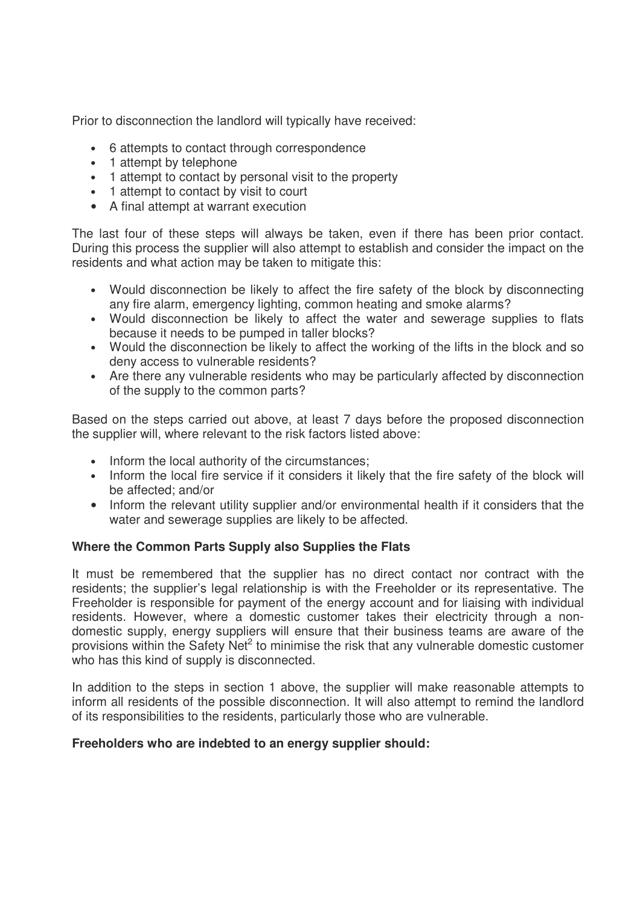Prior to disconnection the landlord will typically have received:

- 6 attempts to contact through correspondence
- 1 attempt by telephone
- 1 attempt to contact by personal visit to the property
- 1 attempt to contact by visit to court
- A final attempt at warrant execution

The last four of these steps will always be taken, even if there has been prior contact. During this process the supplier will also attempt to establish and consider the impact on the residents and what action may be taken to mitigate this:

- Would disconnection be likely to affect the fire safety of the block by disconnecting any fire alarm, emergency lighting, common heating and smoke alarms?
- Would disconnection be likely to affect the water and sewerage supplies to flats because it needs to be pumped in taller blocks?
- Would the disconnection be likely to affect the working of the lifts in the block and so deny access to vulnerable residents?
- Are there any vulnerable residents who may be particularly affected by disconnection of the supply to the common parts?

Based on the steps carried out above, at least 7 days before the proposed disconnection the supplier will, where relevant to the risk factors listed above:

- Inform the local authority of the circumstances;
- Inform the local fire service if it considers it likely that the fire safety of the block will be affected; and/or
- Inform the relevant utility supplier and/or environmental health if it considers that the water and sewerage supplies are likely to be affected.

### **Where the Common Parts Supply also Supplies the Flats**

It must be remembered that the supplier has no direct contact nor contract with the residents; the supplier's legal relationship is with the Freeholder or its representative. The Freeholder is responsible for payment of the energy account and for liaising with individual residents. However, where a domestic customer takes their electricity through a nondomestic supply, energy suppliers will ensure that their business teams are aware of the provisions within the Safety Net<sup>2</sup> to minimise the risk that any vulnerable domestic customer who has this kind of supply is disconnected.

In addition to the steps in section 1 above, the supplier will make reasonable attempts to inform all residents of the possible disconnection. It will also attempt to remind the landlord of its responsibilities to the residents, particularly those who are vulnerable.

### **Freeholders who are indebted to an energy supplier should:**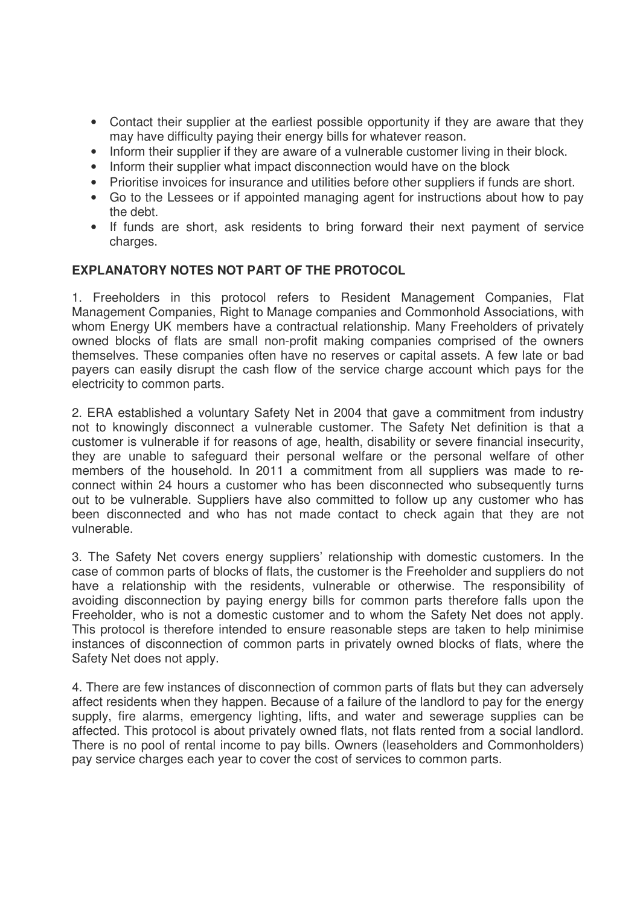- Contact their supplier at the earliest possible opportunity if they are aware that they may have difficulty paying their energy bills for whatever reason.
- Inform their supplier if they are aware of a vulnerable customer living in their block.
- Inform their supplier what impact disconnection would have on the block
- Prioritise invoices for insurance and utilities before other suppliers if funds are short.
- Go to the Lessees or if appointed managing agent for instructions about how to pay the debt.
- If funds are short, ask residents to bring forward their next payment of service charges.

### **EXPLANATORY NOTES NOT PART OF THE PROTOCOL**

1. Freeholders in this protocol refers to Resident Management Companies, Flat Management Companies, Right to Manage companies and Commonhold Associations, with whom Energy UK members have a contractual relationship. Many Freeholders of privately owned blocks of flats are small non-profit making companies comprised of the owners themselves. These companies often have no reserves or capital assets. A few late or bad payers can easily disrupt the cash flow of the service charge account which pays for the electricity to common parts.

2. ERA established a voluntary Safety Net in 2004 that gave a commitment from industry not to knowingly disconnect a vulnerable customer. The Safety Net definition is that a customer is vulnerable if for reasons of age, health, disability or severe financial insecurity, they are unable to safeguard their personal welfare or the personal welfare of other members of the household. In 2011 a commitment from all suppliers was made to reconnect within 24 hours a customer who has been disconnected who subsequently turns out to be vulnerable. Suppliers have also committed to follow up any customer who has been disconnected and who has not made contact to check again that they are not vulnerable.

3. The Safety Net covers energy suppliers' relationship with domestic customers. In the case of common parts of blocks of flats, the customer is the Freeholder and suppliers do not have a relationship with the residents, vulnerable or otherwise. The responsibility of avoiding disconnection by paying energy bills for common parts therefore falls upon the Freeholder, who is not a domestic customer and to whom the Safety Net does not apply. This protocol is therefore intended to ensure reasonable steps are taken to help minimise instances of disconnection of common parts in privately owned blocks of flats, where the Safety Net does not apply.

4. There are few instances of disconnection of common parts of flats but they can adversely affect residents when they happen. Because of a failure of the landlord to pay for the energy supply, fire alarms, emergency lighting, lifts, and water and sewerage supplies can be affected. This protocol is about privately owned flats, not flats rented from a social landlord. There is no pool of rental income to pay bills. Owners (leaseholders and Commonholders) pay service charges each year to cover the cost of services to common parts.